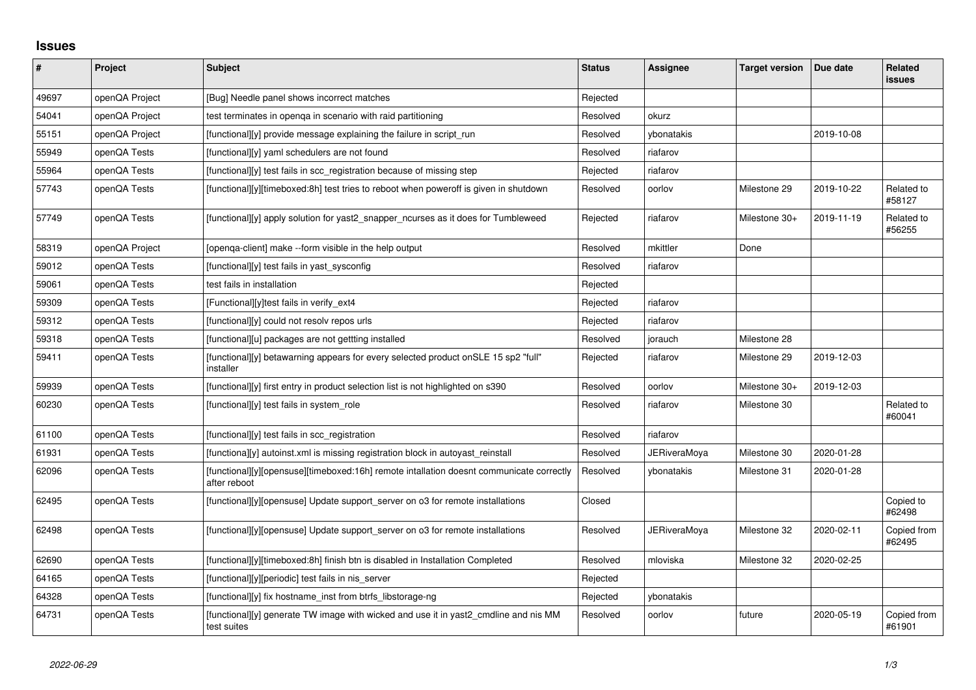## **Issues**

| ∦     | Project        | Subject                                                                                                  | <b>Status</b> | Assignee            | <b>Target version</b> | Due date   | <b>Related</b><br><b>issues</b> |
|-------|----------------|----------------------------------------------------------------------------------------------------------|---------------|---------------------|-----------------------|------------|---------------------------------|
| 49697 | openQA Project | [Bug] Needle panel shows incorrect matches                                                               | Rejected      |                     |                       |            |                                 |
| 54041 | openQA Project | test terminates in openga in scenario with raid partitioning                                             | Resolved      | okurz               |                       |            |                                 |
| 55151 | openQA Project | [functional][y] provide message explaining the failure in script_run                                     | Resolved      | vbonatakis          |                       | 2019-10-08 |                                 |
| 55949 | openQA Tests   | [functional][y] yaml schedulers are not found                                                            | Resolved      | riafarov            |                       |            |                                 |
| 55964 | openQA Tests   | [functional][y] test fails in scc registration because of missing step                                   | Rejected      | riafarov            |                       |            |                                 |
| 57743 | openQA Tests   | [functional][y][timeboxed:8h] test tries to reboot when poweroff is given in shutdown                    | Resolved      | oorlov              | Milestone 29          | 2019-10-22 | Related to<br>#58127            |
| 57749 | openQA Tests   | [functional][y] apply solution for yast2_snapper_ncurses as it does for Tumbleweed                       | Rejected      | riafarov            | Milestone 30+         | 2019-11-19 | Related to<br>#56255            |
| 58319 | openQA Project | [openga-client] make --form visible in the help output                                                   | Resolved      | mkittler            | Done                  |            |                                 |
| 59012 | openQA Tests   | [functional][y] test fails in yast_sysconfig                                                             | Resolved      | riafarov            |                       |            |                                 |
| 59061 | openQA Tests   | test fails in installation                                                                               | Rejected      |                     |                       |            |                                 |
| 59309 | openQA Tests   | [Functional][y]test fails in verify_ext4                                                                 | Rejected      | riafarov            |                       |            |                                 |
| 59312 | openQA Tests   | [functional][y] could not resolv repos urls                                                              | Rejected      | riafarov            |                       |            |                                 |
| 59318 | openQA Tests   | [functional][u] packages are not gettting installed                                                      | Resolved      | jorauch             | Milestone 28          |            |                                 |
| 59411 | openQA Tests   | [functional][y] betawarning appears for every selected product on SLE 15 sp2 "full"<br>installer         | Rejected      | riafarov            | Milestone 29          | 2019-12-03 |                                 |
| 59939 | openQA Tests   | [functional][y] first entry in product selection list is not highlighted on s390                         | Resolved      | oorlov              | Milestone 30+         | 2019-12-03 |                                 |
| 60230 | openQA Tests   | [functional][y] test fails in system_role                                                                | Resolved      | riafarov            | Milestone 30          |            | Related to<br>#60041            |
| 61100 | openQA Tests   | [functional][y] test fails in scc registration                                                           | Resolved      | riafarov            |                       |            |                                 |
| 61931 | openQA Tests   | [functiona][y] autoinst.xml is missing registration block in autoyast reinstall                          | Resolved      | JERiveraMoya        | Milestone 30          | 2020-01-28 |                                 |
| 62096 | openQA Tests   | [functional][y][opensuse][timeboxed:16h] remote intallation doesnt communicate correctly<br>after reboot | Resolved      | ybonatakis          | Milestone 31          | 2020-01-28 |                                 |
| 62495 | openQA Tests   | [functional][y][opensuse] Update support server on 03 for remote installations                           | Closed        |                     |                       |            | Copied to<br>#62498             |
| 62498 | openQA Tests   | [functional][y][opensuse] Update support server on o3 for remote installations                           | Resolved      | <b>JERiveraMoya</b> | Milestone 32          | 2020-02-11 | Copied from<br>#62495           |
| 62690 | openQA Tests   | [functional][y][timeboxed:8h] finish btn is disabled in Installation Completed                           | Resolved      | mloviska            | Milestone 32          | 2020-02-25 |                                 |
| 64165 | openQA Tests   | [functional][y][periodic] test fails in nis_server                                                       | Rejected      |                     |                       |            |                                 |
| 64328 | openQA Tests   | [functional][y] fix hostname_inst from btrfs_libstorage-ng                                               | Rejected      | ybonatakis          |                       |            |                                 |
| 64731 | openQA Tests   | [functional][y] generate TW image with wicked and use it in yast2_cmdline and nis MM<br>test suites      | Resolved      | oorlov              | future                | 2020-05-19 | Copied from<br>#61901           |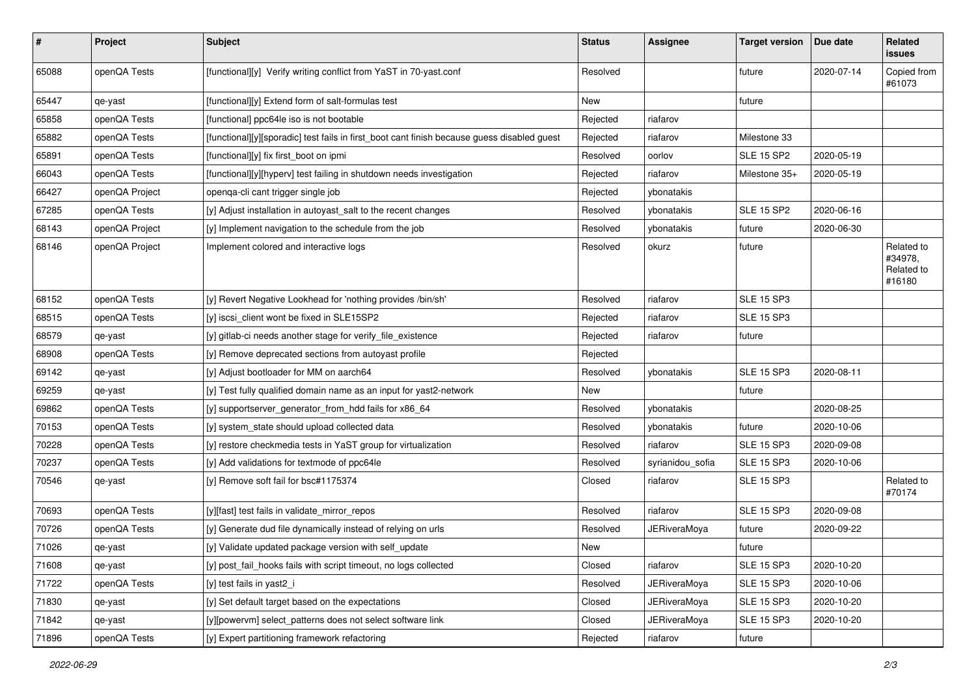| $\sharp$ | Project        | <b>Subject</b>                                                                              | <b>Status</b> | <b>Assignee</b>     | <b>Target version</b> | Due date   | Related<br>issues                             |
|----------|----------------|---------------------------------------------------------------------------------------------|---------------|---------------------|-----------------------|------------|-----------------------------------------------|
| 65088    | openQA Tests   | [functional][y] Verify writing conflict from YaST in 70-yast.conf                           | Resolved      |                     | future                | 2020-07-14 | Copied from<br>#61073                         |
| 65447    | qe-yast        | [functional][y] Extend form of salt-formulas test                                           | New           |                     | future                |            |                                               |
| 65858    | openQA Tests   | [functional] ppc64le iso is not bootable                                                    | Rejected      | riafarov            |                       |            |                                               |
| 65882    | openQA Tests   | [functional][y][sporadic] test fails in first_boot cant finish because guess disabled guest | Rejected      | riafarov            | Milestone 33          |            |                                               |
| 65891    | openQA Tests   | [functional][y] fix first_boot on ipmi                                                      | Resolved      | oorlov              | <b>SLE 15 SP2</b>     | 2020-05-19 |                                               |
| 66043    | openQA Tests   | [functional][y][hyperv] test failing in shutdown needs investigation                        | Rejected      | riafarov            | Milestone 35+         | 2020-05-19 |                                               |
| 66427    | openQA Project | openqa-cli cant trigger single job                                                          | Rejected      | ybonatakis          |                       |            |                                               |
| 67285    | openQA Tests   | [y] Adjust installation in autoyast_salt to the recent changes                              | Resolved      | ybonatakis          | <b>SLE 15 SP2</b>     | 2020-06-16 |                                               |
| 68143    | openQA Project | [y] Implement navigation to the schedule from the job                                       | Resolved      | ybonatakis          | future                | 2020-06-30 |                                               |
| 68146    | openQA Project | Implement colored and interactive logs                                                      | Resolved      | okurz               | future                |            | Related to<br>#34978,<br>Related to<br>#16180 |
| 68152    | openQA Tests   | [y] Revert Negative Lookhead for 'nothing provides /bin/sh'                                 | Resolved      | riafarov            | <b>SLE 15 SP3</b>     |            |                                               |
| 68515    | openQA Tests   | [y] iscsi_client wont be fixed in SLE15SP2                                                  | Rejected      | riafarov            | <b>SLE 15 SP3</b>     |            |                                               |
| 68579    | qe-yast        | [y] gitlab-ci needs another stage for verify_file_existence                                 | Rejected      | riafarov            | future                |            |                                               |
| 68908    | openQA Tests   | [y] Remove deprecated sections from autoyast profile                                        | Rejected      |                     |                       |            |                                               |
| 69142    | qe-yast        | [y] Adjust bootloader for MM on aarch64                                                     | Resolved      | ybonatakis          | <b>SLE 15 SP3</b>     | 2020-08-11 |                                               |
| 69259    | qe-yast        | [y] Test fully qualified domain name as an input for yast2-network                          | New           |                     | future                |            |                                               |
| 69862    | openQA Tests   | [y] supportserver_generator_from_hdd fails for x86_64                                       | Resolved      | ybonatakis          |                       | 2020-08-25 |                                               |
| 70153    | openQA Tests   | [y] system_state should upload collected data                                               | Resolved      | ybonatakis          | future                | 2020-10-06 |                                               |
| 70228    | openQA Tests   | [y] restore checkmedia tests in YaST group for virtualization                               | Resolved      | riafarov            | <b>SLE 15 SP3</b>     | 2020-09-08 |                                               |
| 70237    | openQA Tests   | [y] Add validations for textmode of ppc64le                                                 | Resolved      | syrianidou_sofia    | <b>SLE 15 SP3</b>     | 2020-10-06 |                                               |
| 70546    | qe-yast        | [y] Remove soft fail for bsc#1175374                                                        | Closed        | riafarov            | <b>SLE 15 SP3</b>     |            | Related to<br>#70174                          |
| 70693    | openQA Tests   | [y][fast] test fails in validate_mirror_repos                                               | Resolved      | riafarov            | <b>SLE 15 SP3</b>     | 2020-09-08 |                                               |
| 70726    | openQA Tests   | [y] Generate dud file dynamically instead of relying on urls                                | Resolved      | JERiveraMoya        | future                | 2020-09-22 |                                               |
| 71026    | qe-yast        | [y] Validate updated package version with self update                                       | New           |                     | future                |            |                                               |
| 71608    | qe-yast        | [y] post fail hooks fails with script timeout, no logs collected                            | Closed        | riafarov            | <b>SLE 15 SP3</b>     | 2020-10-20 |                                               |
| 71722    | openQA Tests   | [y] test fails in yast2_i                                                                   | Resolved      | <b>JERiveraMoya</b> | <b>SLE 15 SP3</b>     | 2020-10-06 |                                               |
| 71830    | qe-yast        | [y] Set default target based on the expectations                                            | Closed        | <b>JERiveraMoya</b> | <b>SLE 15 SP3</b>     | 2020-10-20 |                                               |
| 71842    | qe-yast        | [y][powervm] select_patterns does not select software link                                  | Closed        | <b>JERiveraMoya</b> | <b>SLE 15 SP3</b>     | 2020-10-20 |                                               |
| 71896    | openQA Tests   | [y] Expert partitioning framework refactoring                                               | Rejected      | riafarov            | future                |            |                                               |